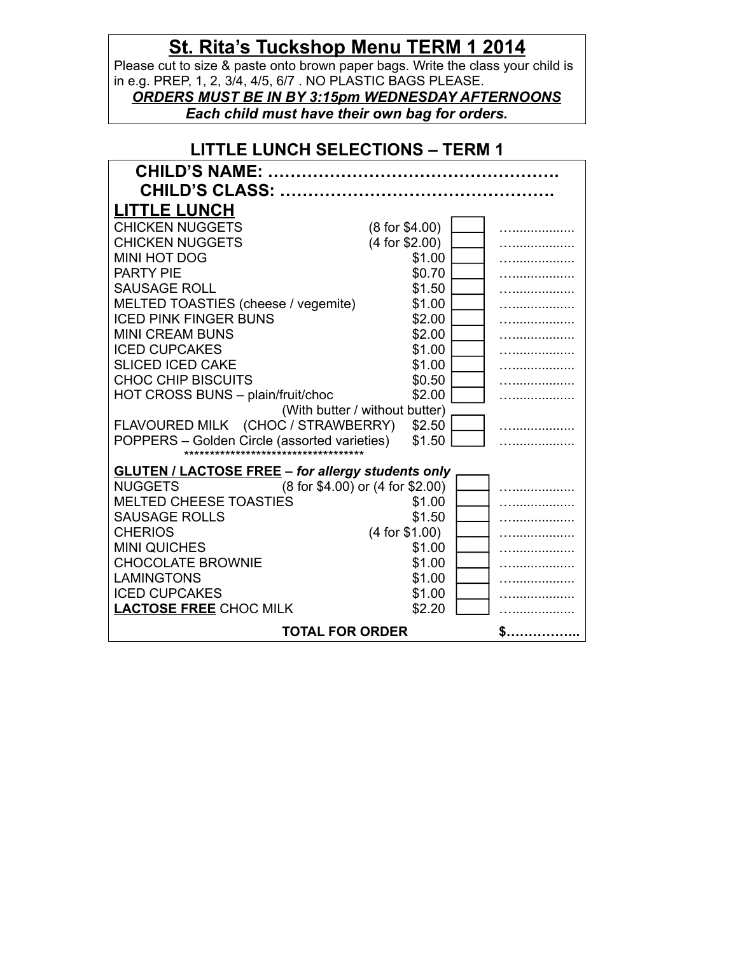## **St. Rita's Tuckshop Menu TERM 1 2014**

Please cut to size & paste onto brown paper bags. Write the class your child is in e.g. PREP, 1, 2, 3/4, 4/5, 6/7 . NO PLASTIC BAGS PLEASE.

*ORDERS MUST BE IN BY 3:15pm WEDNESDAY AFTERNOONS Each child must have their own bag for orders.*

| <b>LITTLE LUNCH SELECTIONS - TERM 1</b>                                              |                                  |  |  |  |
|--------------------------------------------------------------------------------------|----------------------------------|--|--|--|
| <b>CHILD'S NAME:</b>                                                                 |                                  |  |  |  |
| <b>CHILD'S CLASS: </b>                                                               |                                  |  |  |  |
| <b>LITTLE LUNCH</b>                                                                  |                                  |  |  |  |
| <b>CHICKEN NUGGETS</b>                                                               | (8 for \$4.00)                   |  |  |  |
| <b>CHICKEN NUGGETS</b>                                                               | $(4$ for \$2.00)                 |  |  |  |
| <b>MINI HOT DOG</b>                                                                  | \$1.00                           |  |  |  |
| <b>PARTY PIE</b>                                                                     | \$0.70                           |  |  |  |
| <b>SAUSAGE ROLL</b>                                                                  | \$1.50                           |  |  |  |
| MELTED TOASTIES (cheese / vegemite)                                                  | \$1.00                           |  |  |  |
| <b>ICED PINK FINGER BUNS</b>                                                         | \$2.00                           |  |  |  |
| <b>MINI CREAM BUNS</b>                                                               | \$2.00                           |  |  |  |
| <b>ICED CUPCAKES</b>                                                                 | \$1.00                           |  |  |  |
| <b>SLICED ICED CAKE</b>                                                              | \$1.00                           |  |  |  |
| <b>CHOC CHIP BISCUITS</b>                                                            | \$0.50                           |  |  |  |
| HOT CROSS BUNS - plain/fruit/choc                                                    | \$2.00                           |  |  |  |
| (With butter / without butter)                                                       |                                  |  |  |  |
| FLAVOURED MILK (CHOC / STRAWBERRY)                                                   | \$2.50                           |  |  |  |
| POPPERS - Golden Circle (assorted varieties)<br>************************************ | \$1.50                           |  |  |  |
| <b>GLUTEN / LACTOSE FREE - for allergy students only</b>                             |                                  |  |  |  |
| <b>NUGGETS</b>                                                                       | (8 for \$4.00) or (4 for \$2.00) |  |  |  |
| <b>MELTED CHEESE TOASTIES</b>                                                        | \$1.00                           |  |  |  |
| <b>SAUSAGE ROLLS</b>                                                                 | \$1.50                           |  |  |  |
| <b>CHERIOS</b>                                                                       | $(4$ for \$1.00)                 |  |  |  |
| <b>MINI QUICHES</b>                                                                  | \$1.00                           |  |  |  |
| <b>CHOCOLATE BROWNIE</b>                                                             | \$1.00                           |  |  |  |
| <b>LAMINGTONS</b>                                                                    | \$1.00                           |  |  |  |
| <b>ICED CUPCAKES</b>                                                                 | \$1.00                           |  |  |  |
| <b>LACTOSE FREE CHOC MILK</b>                                                        | \$2.20                           |  |  |  |
| <b>TOTAL FOR ORDER</b>                                                               | \$.                              |  |  |  |